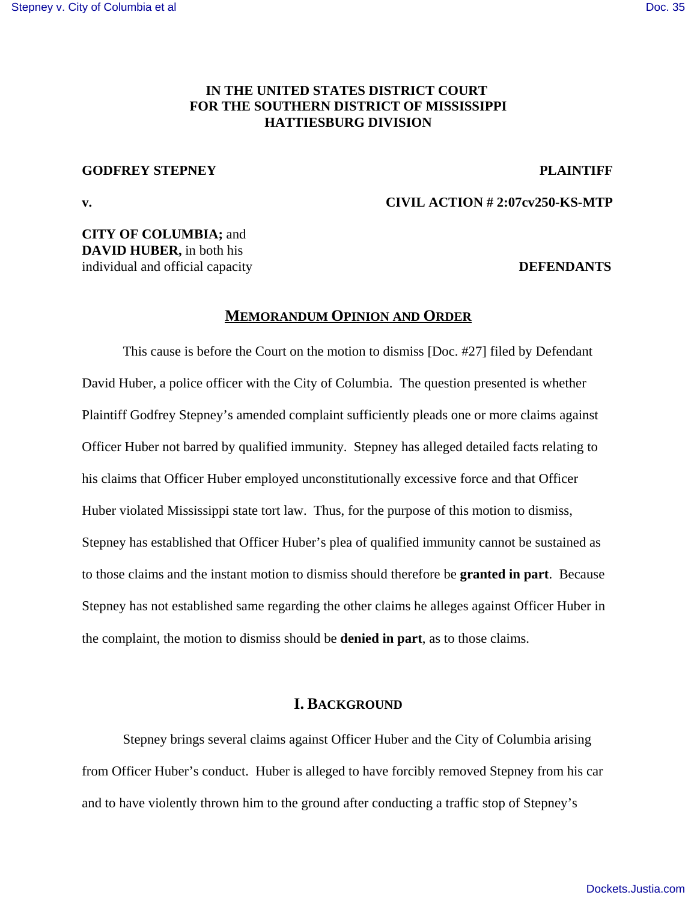# **IN THE UNITED STATES DISTRICT COURT FOR THE SOUTHERN DISTRICT OF MISSISSIPPI HATTIESBURG DIVISION**

### **GODFREY STEPNEY PLAINTIFF**

**v. CIVIL ACTION # 2:07cv250-KS-MTP**

**CITY OF COLUMBIA;** and **DAVID HUBER,** in both his individual and official capacity **DEFENDANTS**

## **MEMORANDUM OPINION AND ORDER**

This cause is before the Court on the motion to dismiss [Doc. #27] filed by Defendant David Huber, a police officer with the City of Columbia. The question presented is whether Plaintiff Godfrey Stepney's amended complaint sufficiently pleads one or more claims against Officer Huber not barred by qualified immunity. Stepney has alleged detailed facts relating to his claims that Officer Huber employed unconstitutionally excessive force and that Officer Huber violated Mississippi state tort law. Thus, for the purpose of this motion to dismiss, Stepney has established that Officer Huber's plea of qualified immunity cannot be sustained as to those claims and the instant motion to dismiss should therefore be **granted in part**. Because Stepney has not established same regarding the other claims he alleges against Officer Huber in the complaint, the motion to dismiss should be **denied in part**, as to those claims.

# **I. BACKGROUND**

Stepney brings several claims against Officer Huber and the City of Columbia arising from Officer Huber's conduct. Huber is alleged to have forcibly removed Stepney from his car and to have violently thrown him to the ground after conducting a traffic stop of Stepney's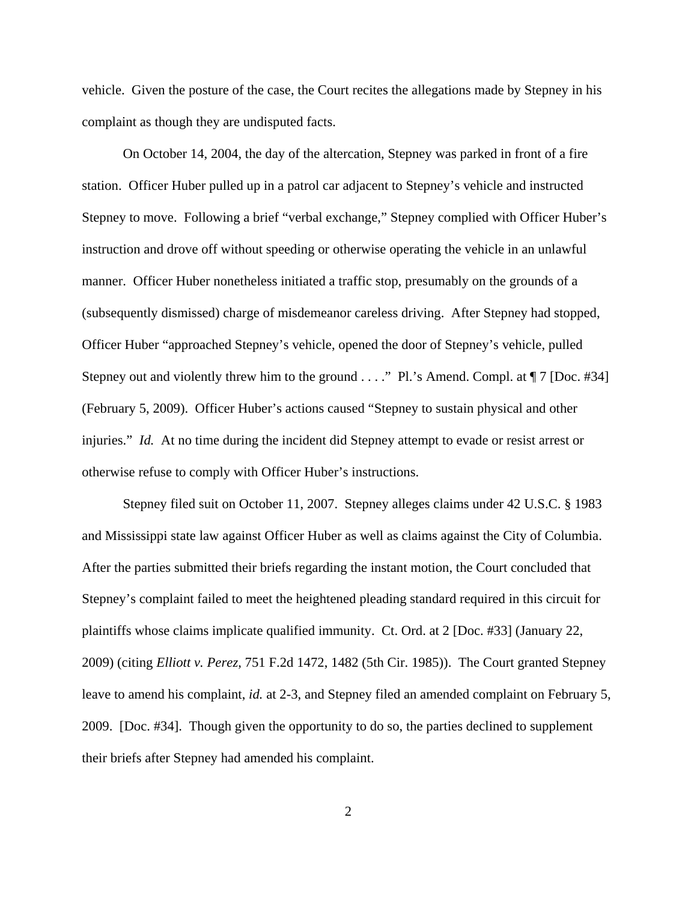vehicle. Given the posture of the case, the Court recites the allegations made by Stepney in his complaint as though they are undisputed facts.

On October 14, 2004, the day of the altercation, Stepney was parked in front of a fire station. Officer Huber pulled up in a patrol car adjacent to Stepney's vehicle and instructed Stepney to move. Following a brief "verbal exchange," Stepney complied with Officer Huber's instruction and drove off without speeding or otherwise operating the vehicle in an unlawful manner. Officer Huber nonetheless initiated a traffic stop, presumably on the grounds of a (subsequently dismissed) charge of misdemeanor careless driving. After Stepney had stopped, Officer Huber "approached Stepney's vehicle, opened the door of Stepney's vehicle, pulled Stepney out and violently threw him to the ground . . . ." Pl.'s Amend. Compl. at  $\P$  7 [Doc. #34] (February 5, 2009). Officer Huber's actions caused "Stepney to sustain physical and other injuries." *Id.* At no time during the incident did Stepney attempt to evade or resist arrest or otherwise refuse to comply with Officer Huber's instructions.

Stepney filed suit on October 11, 2007. Stepney alleges claims under 42 U.S.C. § 1983 and Mississippi state law against Officer Huber as well as claims against the City of Columbia. After the parties submitted their briefs regarding the instant motion, the Court concluded that Stepney's complaint failed to meet the heightened pleading standard required in this circuit for plaintiffs whose claims implicate qualified immunity. Ct. Ord. at 2 [Doc. #33] (January 22, 2009) (citing *Elliott v. Perez*, 751 F.2d 1472, 1482 (5th Cir. 1985)). The Court granted Stepney leave to amend his complaint, *id.* at 2-3, and Stepney filed an amended complaint on February 5, 2009. [Doc. #34]. Though given the opportunity to do so, the parties declined to supplement their briefs after Stepney had amended his complaint.

2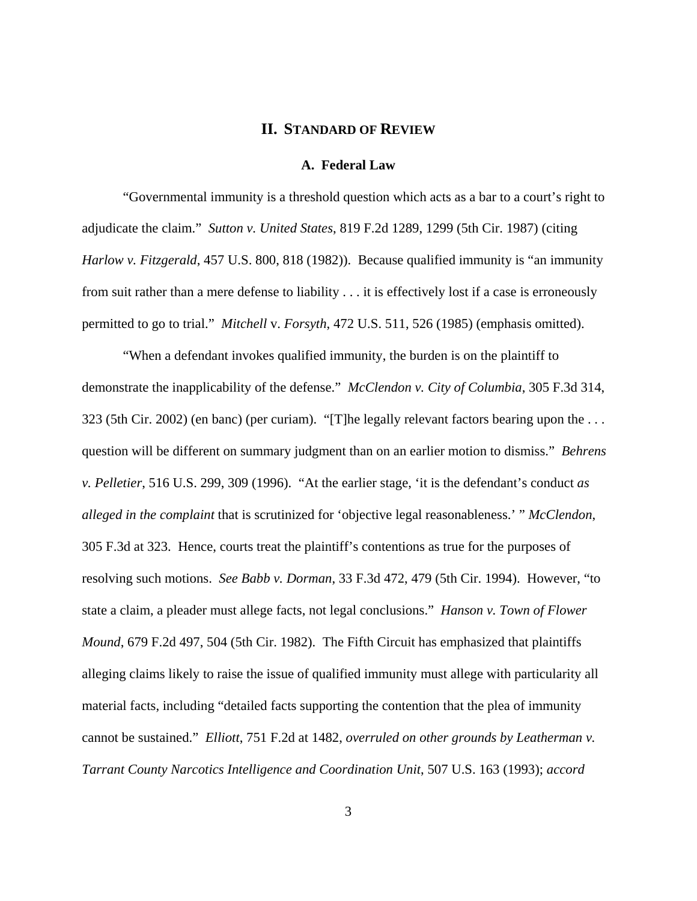## **II. STANDARD OF REVIEW**

#### **A. Federal Law**

"Governmental immunity is a threshold question which acts as a bar to a court's right to adjudicate the claim." *Sutton v. United States*, 819 F.2d 1289, 1299 (5th Cir. 1987) (citing *Harlow v. Fitzgerald*, 457 U.S. 800, 818 (1982)). Because qualified immunity is "an immunity from suit rather than a mere defense to liability . . . it is effectively lost if a case is erroneously permitted to go to trial." *Mitchell* v. *Forsyth*, 472 U.S. 511, 526 (1985) (emphasis omitted).

"When a defendant invokes qualified immunity, the burden is on the plaintiff to demonstrate the inapplicability of the defense." *McClendon v. City of Columbia*, 305 F.3d 314, 323 (5th Cir. 2002) (en banc) (per curiam). "[T]he legally relevant factors bearing upon the . . . question will be different on summary judgment than on an earlier motion to dismiss." *Behrens v. Pelletier*, 516 U.S. 299, 309 (1996). "At the earlier stage, 'it is the defendant's conduct *as alleged in the complaint* that is scrutinized for 'objective legal reasonableness.' " *McClendon*, 305 F.3d at 323. Hence, courts treat the plaintiff's contentions as true for the purposes of resolving such motions. *See Babb v. Dorman*, 33 F.3d 472, 479 (5th Cir. 1994). However, "to state a claim, a pleader must allege facts, not legal conclusions." *Hanson v. Town of Flower Mound*, 679 F.2d 497, 504 (5th Cir. 1982). The Fifth Circuit has emphasized that plaintiffs alleging claims likely to raise the issue of qualified immunity must allege with particularity all material facts, including "detailed facts supporting the contention that the plea of immunity cannot be sustained." *Elliott*, 751 F.2d at 1482, *overruled on other grounds by Leatherman v. Tarrant County Narcotics Intelligence and Coordination Unit*, 507 U.S. 163 (1993); *accord*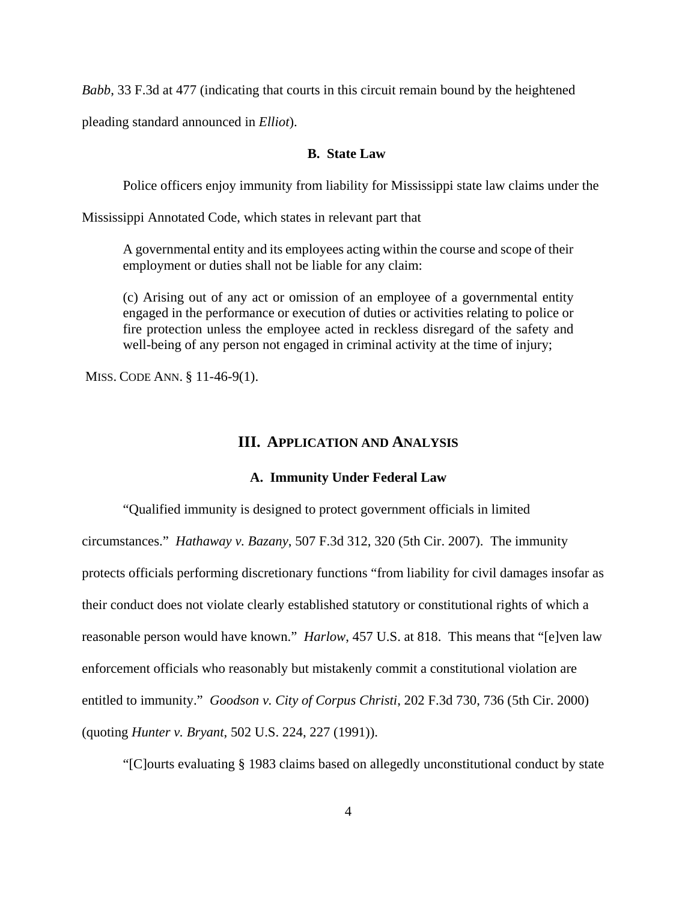*Babb*, 33 F.3d at 477 (indicating that courts in this circuit remain bound by the heightened

pleading standard announced in *Elliot*).

### **B. State Law**

Police officers enjoy immunity from liability for Mississippi state law claims under the

Mississippi Annotated Code, which states in relevant part that

A governmental entity and its employees acting within the course and scope of their employment or duties shall not be liable for any claim:

(c) Arising out of any act or omission of an employee of a governmental entity engaged in the performance or execution of duties or activities relating to police or fire protection unless the employee acted in reckless disregard of the safety and well-being of any person not engaged in criminal activity at the time of injury;

MISS. CODE ANN. § 11-46-9(1).

#### **III. APPLICATION AND ANALYSIS**

### **A. Immunity Under Federal Law**

"Qualified immunity is designed to protect government officials in limited circumstances." *Hathaway v. Bazany*, 507 F.3d 312, 320 (5th Cir. 2007). The immunity protects officials performing discretionary functions "from liability for civil damages insofar as their conduct does not violate clearly established statutory or constitutional rights of which a reasonable person would have known." *Harlow*, 457 U.S. at 818. This means that "[e]ven law enforcement officials who reasonably but mistakenly commit a constitutional violation are entitled to immunity." *Goodson v. City of Corpus Christi*, 202 F.3d 730, 736 (5th Cir. 2000) (quoting *Hunter v. Bryant*, 502 U.S. 224, 227 (1991)).

"[C]ourts evaluating § 1983 claims based on allegedly unconstitutional conduct by state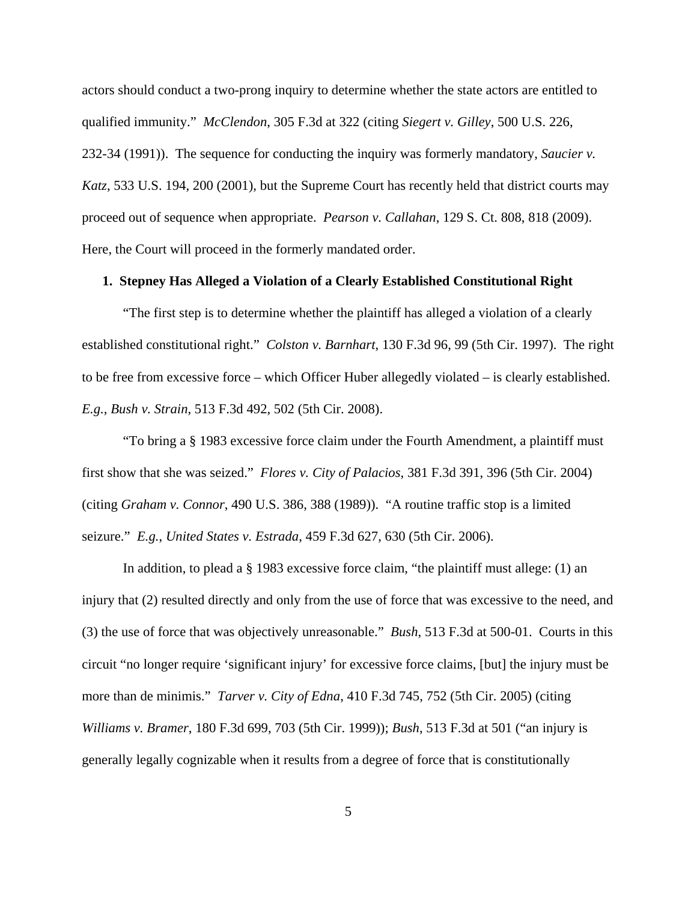actors should conduct a two-prong inquiry to determine whether the state actors are entitled to qualified immunity." *McClendon*, 305 F.3d at 322 (citing *Siegert v. Gilley*, 500 U.S. 226, 232-34 (1991)). The sequence for conducting the inquiry was formerly mandatory, *Saucier v. Katz*, 533 U.S. 194, 200 (2001), but the Supreme Court has recently held that district courts may proceed out of sequence when appropriate. *Pearson v. Callahan*, 129 S. Ct. 808, 818 (2009). Here, the Court will proceed in the formerly mandated order.

# **1. Stepney Has Alleged a Violation of a Clearly Established Constitutional Right**

"The first step is to determine whether the plaintiff has alleged a violation of a clearly established constitutional right." *Colston v. Barnhart*, 130 F.3d 96, 99 (5th Cir. 1997). The right to be free from excessive force – which Officer Huber allegedly violated – is clearly established. *E.g.*, *Bush v. Strain*, 513 F.3d 492, 502 (5th Cir. 2008).

"To bring a § 1983 excessive force claim under the Fourth Amendment, a plaintiff must first show that she was seized." *Flores v. City of Palacios*, 381 F.3d 391, 396 (5th Cir. 2004) (citing *Graham v. Connor*, 490 U.S. 386, 388 (1989)). "A routine traffic stop is a limited seizure." *E.g.*, *United States v. Estrada*, 459 F.3d 627, 630 (5th Cir. 2006).

In addition, to plead a § 1983 excessive force claim, "the plaintiff must allege: (1) an injury that (2) resulted directly and only from the use of force that was excessive to the need, and (3) the use of force that was objectively unreasonable." *Bush*, 513 F.3d at 500-01.Courts in this circuit "no longer require 'significant injury' for excessive force claims, [but] the injury must be more than de minimis." *Tarver v. City of Edna*, 410 F.3d 745, 752 (5th Cir. 2005) (citing *Williams v. Bramer*, 180 F.3d 699, 703 (5th Cir. 1999)); *Bush*, 513 F.3d at 501 ("an injury is generally legally cognizable when it results from a degree of force that is constitutionally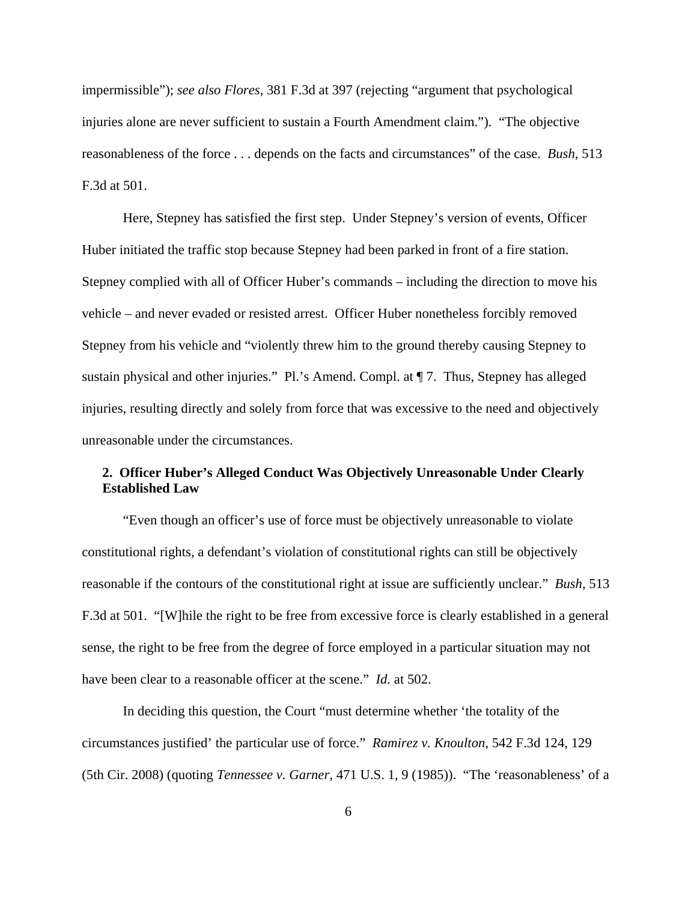impermissible"); *see also Flores*, 381 F.3d at 397 (rejecting "argument that psychological injuries alone are never sufficient to sustain a Fourth Amendment claim."). "The objective reasonableness of the force . . . depends on the facts and circumstances" of the case. *Bush*, 513 F.3d at 501.

Here, Stepney has satisfied the first step. Under Stepney's version of events, Officer Huber initiated the traffic stop because Stepney had been parked in front of a fire station. Stepney complied with all of Officer Huber's commands – including the direction to move his vehicle – and never evaded or resisted arrest. Officer Huber nonetheless forcibly removed Stepney from his vehicle and "violently threw him to the ground thereby causing Stepney to sustain physical and other injuries." Pl.'s Amend. Compl. at ¶ 7. Thus, Stepney has alleged injuries, resulting directly and solely from force that was excessive to the need and objectively unreasonable under the circumstances.

# **2. Officer Huber's Alleged Conduct Was Objectively Unreasonable Under Clearly Established Law**

"Even though an officer's use of force must be objectively unreasonable to violate constitutional rights, a defendant's violation of constitutional rights can still be objectively reasonable if the contours of the constitutional right at issue are sufficiently unclear." *Bush*, 513 F.3d at 501. "[W]hile the right to be free from excessive force is clearly established in a general sense, the right to be free from the degree of force employed in a particular situation may not have been clear to a reasonable officer at the scene." *Id.* at 502.

In deciding this question, the Court "must determine whether 'the totality of the circumstances justified' the particular use of force." *Ramirez v. Knoulton*, 542 F.3d 124, 129 (5th Cir. 2008) (quoting *Tennessee v. Garner*, 471 U.S. 1, 9 (1985)). "The 'reasonableness' of a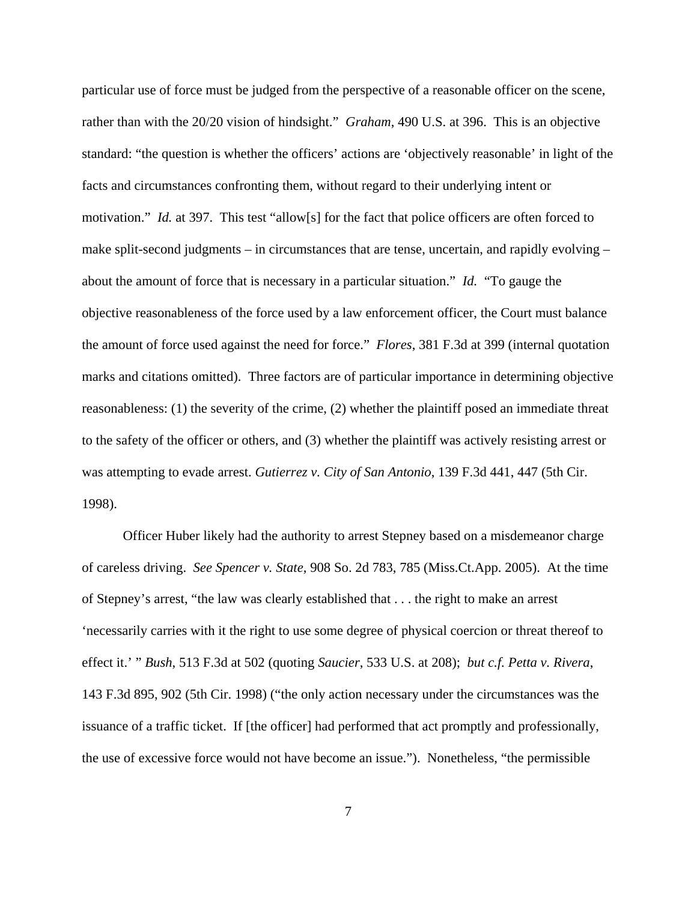particular use of force must be judged from the perspective of a reasonable officer on the scene, rather than with the 20/20 vision of hindsight." *Graham*, 490 U.S. at 396. This is an objective standard: "the question is whether the officers' actions are 'objectively reasonable' in light of the facts and circumstances confronting them, without regard to their underlying intent or motivation." *Id.* at 397. This test "allow[s] for the fact that police officers are often forced to make split-second judgments – in circumstances that are tense, uncertain, and rapidly evolving – about the amount of force that is necessary in a particular situation." *Id.* "To gauge the objective reasonableness of the force used by a law enforcement officer, the Court must balance the amount of force used against the need for force." *Flores*, 381 F.3d at 399 (internal quotation marks and citations omitted). Three factors are of particular importance in determining objective reasonableness: (1) the severity of the crime, (2) whether the plaintiff posed an immediate threat to the safety of the officer or others, and (3) whether the plaintiff was actively resisting arrest or was attempting to evade arrest. *Gutierrez v. City of San Antonio*, 139 F.3d 441, 447 (5th Cir. 1998).

Officer Huber likely had the authority to arrest Stepney based on a misdemeanor charge of careless driving. *See Spencer v. State*, 908 So. 2d 783, 785 (Miss.Ct.App. 2005). At the time of Stepney's arrest, "the law was clearly established that . . . the right to make an arrest 'necessarily carries with it the right to use some degree of physical coercion or threat thereof to effect it.' " *Bush*, 513 F.3d at 502 (quoting *Saucier*, 533 U.S. at 208); *but c.f. Petta v. Rivera*, 143 F.3d 895, 902 (5th Cir. 1998) ("the only action necessary under the circumstances was the issuance of a traffic ticket. If [the officer] had performed that act promptly and professionally, the use of excessive force would not have become an issue."). Nonetheless, "the permissible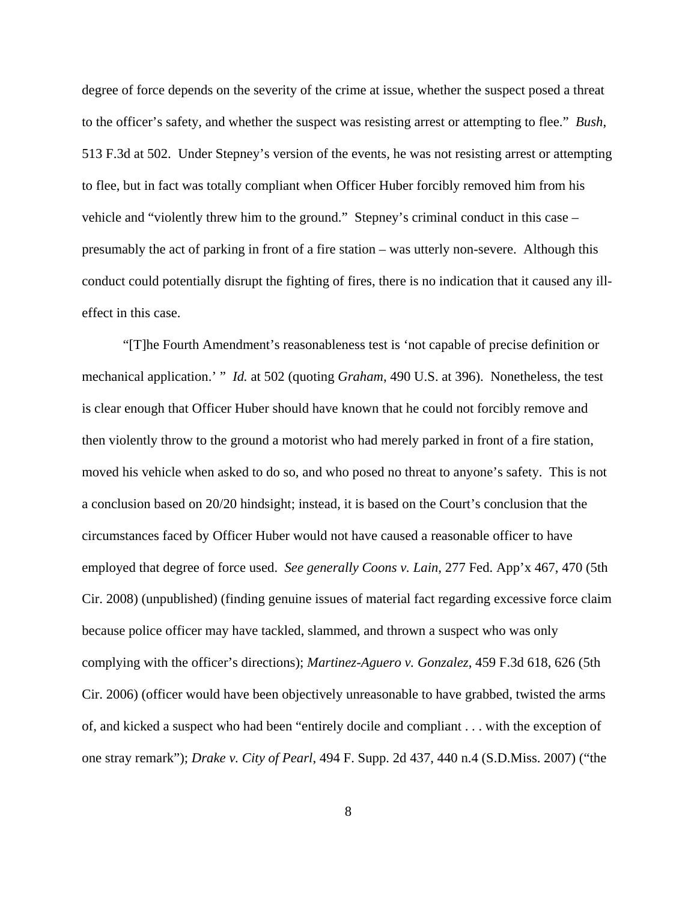degree of force depends on the severity of the crime at issue, whether the suspect posed a threat to the officer's safety, and whether the suspect was resisting arrest or attempting to flee." *Bush*, 513 F.3d at 502. Under Stepney's version of the events, he was not resisting arrest or attempting to flee, but in fact was totally compliant when Officer Huber forcibly removed him from his vehicle and "violently threw him to the ground." Stepney's criminal conduct in this case – presumably the act of parking in front of a fire station – was utterly non-severe. Although this conduct could potentially disrupt the fighting of fires, there is no indication that it caused any illeffect in this case.

"[T]he Fourth Amendment's reasonableness test is 'not capable of precise definition or mechanical application.' " *Id.* at 502 (quoting *Graham*, 490 U.S. at 396). Nonetheless, the test is clear enough that Officer Huber should have known that he could not forcibly remove and then violently throw to the ground a motorist who had merely parked in front of a fire station, moved his vehicle when asked to do so, and who posed no threat to anyone's safety. This is not a conclusion based on 20/20 hindsight; instead, it is based on the Court's conclusion that the circumstances faced by Officer Huber would not have caused a reasonable officer to have employed that degree of force used. *See generally Coons v. Lain*, 277 Fed. App'x 467, 470 (5th Cir. 2008) (unpublished) (finding genuine issues of material fact regarding excessive force claim because police officer may have tackled, slammed, and thrown a suspect who was only complying with the officer's directions); *Martinez-Aguero v. Gonzalez*, 459 F.3d 618, 626 (5th Cir. 2006) (officer would have been objectively unreasonable to have grabbed, twisted the arms of, and kicked a suspect who had been "entirely docile and compliant . . . with the exception of one stray remark"); *Drake v. City of Pearl*, 494 F. Supp. 2d 437, 440 n.4 (S.D.Miss. 2007) ("the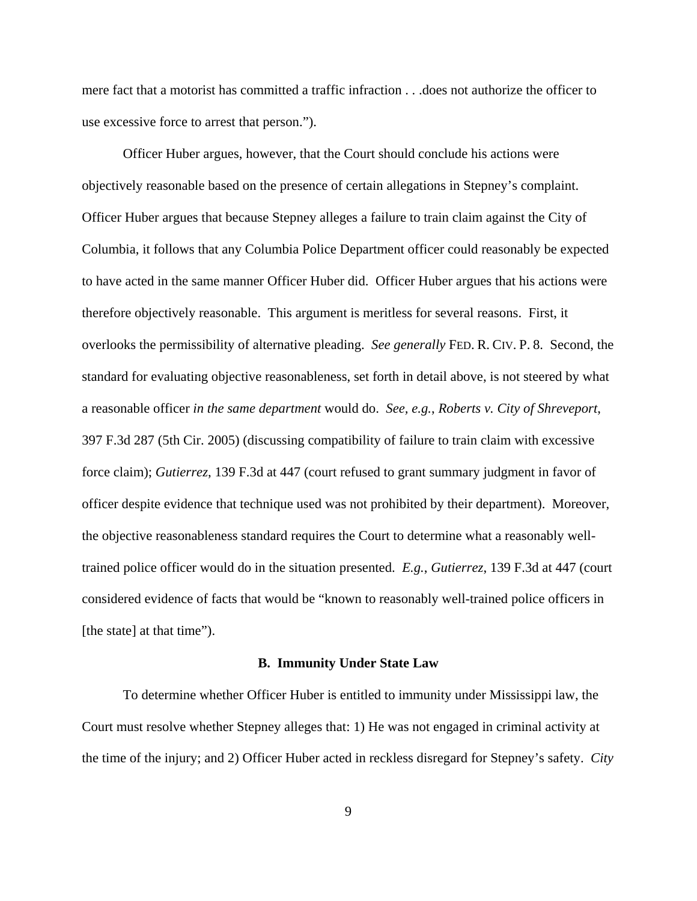mere fact that a motorist has committed a traffic infraction . . .does not authorize the officer to use excessive force to arrest that person.").

Officer Huber argues, however, that the Court should conclude his actions were objectively reasonable based on the presence of certain allegations in Stepney's complaint. Officer Huber argues that because Stepney alleges a failure to train claim against the City of Columbia, it follows that any Columbia Police Department officer could reasonably be expected to have acted in the same manner Officer Huber did. Officer Huber argues that his actions were therefore objectively reasonable. This argument is meritless for several reasons. First, it overlooks the permissibility of alternative pleading. *See generally* FED. R. CIV. P. 8. Second, the standard for evaluating objective reasonableness, set forth in detail above, is not steered by what a reasonable officer *in the same department* would do. *See, e.g.*, *Roberts v. City of Shreveport*, 397 F.3d 287 (5th Cir. 2005) (discussing compatibility of failure to train claim with excessive force claim); *Gutierrez*, 139 F.3d at 447 (court refused to grant summary judgment in favor of officer despite evidence that technique used was not prohibited by their department). Moreover, the objective reasonableness standard requires the Court to determine what a reasonably welltrained police officer would do in the situation presented. *E.g.*, *Gutierrez*, 139 F.3d at 447 (court considered evidence of facts that would be "known to reasonably well-trained police officers in [the state] at that time").

#### **B. Immunity Under State Law**

To determine whether Officer Huber is entitled to immunity under Mississippi law, the Court must resolve whether Stepney alleges that: 1) He was not engaged in criminal activity at the time of the injury; and 2) Officer Huber acted in reckless disregard for Stepney's safety. *City*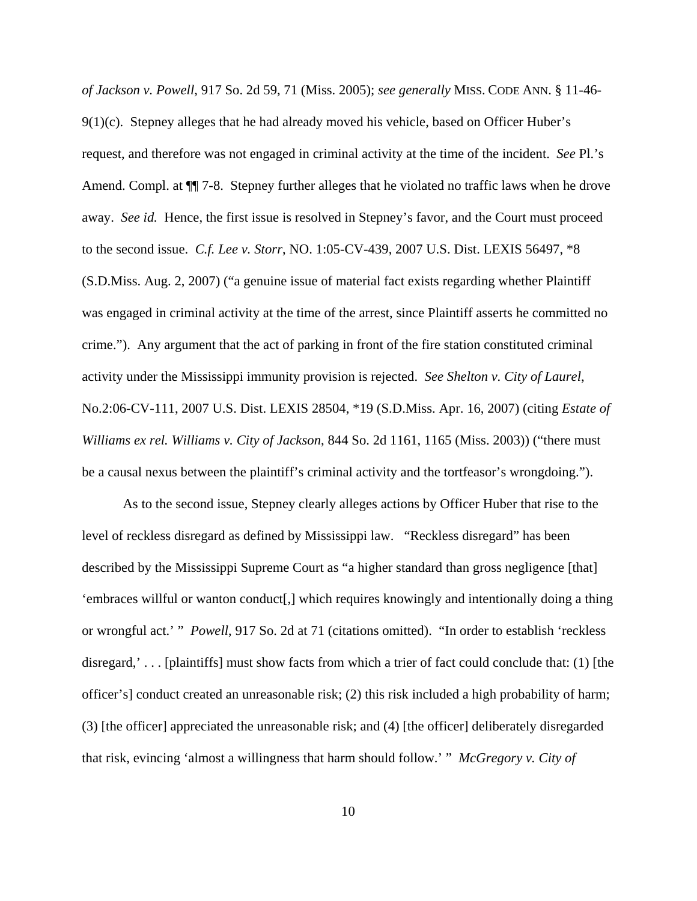*of Jackson v. Powell*, 917 So. 2d 59, 71 (Miss. 2005); *see generally* MISS. CODE ANN. § 11-46- 9(1)(c). Stepney alleges that he had already moved his vehicle, based on Officer Huber's request, and therefore was not engaged in criminal activity at the time of the incident. *See* Pl.'s Amend. Compl. at ¶¶ 7-8. Stepney further alleges that he violated no traffic laws when he drove away. *See id.* Hence, the first issue is resolved in Stepney's favor, and the Court must proceed to the second issue. *C.f. Lee v. Storr*, NO. 1:05-CV-439, 2007 U.S. Dist. LEXIS 56497, \*8 (S.D.Miss. Aug. 2, 2007) ("a genuine issue of material fact exists regarding whether Plaintiff was engaged in criminal activity at the time of the arrest, since Plaintiff asserts he committed no crime."). Any argument that the act of parking in front of the fire station constituted criminal activity under the Mississippi immunity provision is rejected. *See Shelton v. City of Laurel*, No.2:06-CV-111, 2007 U.S. Dist. LEXIS 28504, \*19 (S.D.Miss. Apr. 16, 2007) (citing *Estate of Williams ex rel. Williams v. City of Jackson*, 844 So. 2d 1161, 1165 (Miss. 2003)) ("there must be a causal nexus between the plaintiff's criminal activity and the tortfeasor's wrongdoing.").

As to the second issue, Stepney clearly alleges actions by Officer Huber that rise to the level of reckless disregard as defined by Mississippi law. "Reckless disregard" has been described by the Mississippi Supreme Court as "a higher standard than gross negligence [that] 'embraces willful or wanton conduct[,] which requires knowingly and intentionally doing a thing or wrongful act.' " *Powell*, 917 So. 2d at 71 (citations omitted). "In order to establish 'reckless disregard,' . . . [plaintiffs] must show facts from which a trier of fact could conclude that: (1) [the officer's] conduct created an unreasonable risk; (2) this risk included a high probability of harm; (3) [the officer] appreciated the unreasonable risk; and (4) [the officer] deliberately disregarded that risk, evincing 'almost a willingness that harm should follow.' " *McGregory v. City of*